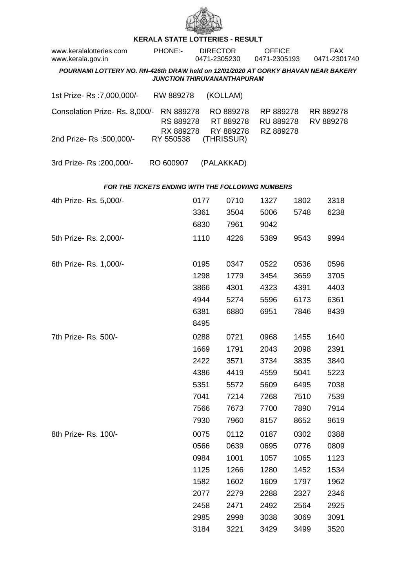

## **KERALA STATE LOTTERIES - RESULT**

| www.keralalotteries.com<br>www.kerala.gov.in                                      | PHONE:-                             | <b>DIRECTOR</b><br>0471-2305230 |                                                   | <b>OFFICE</b><br>0471-2305193       |      | <b>FAX</b><br>0471-2301740 |                        |
|-----------------------------------------------------------------------------------|-------------------------------------|---------------------------------|---------------------------------------------------|-------------------------------------|------|----------------------------|------------------------|
| POURNAMI LOTTERY NO. RN-426th DRAW held on 12/01/2020 AT GORKY BHAVAN NEAR BAKERY |                                     |                                 | <b>JUNCTION THIRUVANANTHAPURAM</b>                |                                     |      |                            |                        |
| 1st Prize-Rs : 7,000,000/-                                                        | RW 889278                           |                                 | (KOLLAM)                                          |                                     |      |                            |                        |
| Consolation Prize-Rs. 8,000/-                                                     | RN 889278<br>RS 889278<br>RX 889278 |                                 | RO 889278<br>RT 889278<br>RY 889278               | RP 889278<br>RU 889278<br>RZ 889278 |      |                            | RR 889278<br>RV 889278 |
| 2nd Prize-Rs: 500,000/-                                                           | RY 550538                           |                                 | (THRISSUR)                                        |                                     |      |                            |                        |
| 3rd Prize-Rs : 200,000/-                                                          | RO 600907                           |                                 | (PALAKKAD)                                        |                                     |      |                            |                        |
|                                                                                   |                                     |                                 | FOR THE TICKETS ENDING WITH THE FOLLOWING NUMBERS |                                     |      |                            |                        |
| 4th Prize-Rs. 5,000/-                                                             |                                     | 0177                            | 0710                                              | 1327                                | 1802 |                            | 3318                   |
|                                                                                   |                                     | 3361                            | 3504                                              | 5006                                | 5748 |                            | 6238                   |
|                                                                                   |                                     | 6830                            | 7961                                              | 9042                                |      |                            |                        |
| 5th Prize-Rs. 2,000/-                                                             |                                     | 1110                            | 4226                                              | 5389                                | 9543 |                            | 9994                   |
| 6th Prize-Rs. 1,000/-                                                             |                                     | 0195                            | 0347                                              | 0522                                | 0536 |                            | 0596                   |
|                                                                                   |                                     | 1298                            | 1779                                              | 3454                                | 3659 |                            | 3705                   |
|                                                                                   |                                     | 3866                            | 4301                                              | 4323                                | 4391 |                            | 4403                   |
|                                                                                   |                                     | 4944                            | 5274                                              | 5596                                | 6173 |                            | 6361                   |
|                                                                                   |                                     | 6381                            | 6880                                              | 6951                                | 7846 |                            | 8439                   |
|                                                                                   |                                     | 8495                            |                                                   |                                     |      |                            |                        |
| 7th Prize-Rs. 500/-                                                               |                                     | 0288                            | 0721                                              | 0968                                | 1455 |                            | 1640                   |
|                                                                                   |                                     | 1669                            | 1791                                              | 2043                                | 2098 |                            | 2391                   |
|                                                                                   |                                     | 2422                            | 3571                                              | 3734                                | 3835 |                            | 3840                   |
|                                                                                   |                                     | 4386                            | 4419                                              | 4559                                | 5041 |                            | 5223                   |
|                                                                                   |                                     | 5351                            | 5572                                              | 5609                                | 6495 |                            | 7038                   |
|                                                                                   |                                     | 7041                            | 7214                                              | 7268                                | 7510 |                            | 7539                   |
|                                                                                   |                                     | 7566                            | 7673                                              | 7700                                | 7890 |                            | 7914                   |
|                                                                                   |                                     | 7930                            | 7960                                              | 8157                                | 8652 |                            | 9619                   |
| 8th Prize-Rs. 100/-                                                               |                                     | 0075                            | 0112                                              | 0187                                | 0302 |                            | 0388                   |
|                                                                                   |                                     | 0566                            | 0639                                              | 0695                                | 0776 |                            | 0809                   |
|                                                                                   |                                     | 0984                            | 1001                                              | 1057                                | 1065 |                            | 1123                   |
|                                                                                   |                                     | 1125                            | 1266                                              | 1280                                | 1452 |                            | 1534                   |
|                                                                                   |                                     | 1582                            | 1602                                              | 1609                                | 1797 |                            | 1962                   |
|                                                                                   |                                     | 2077                            | 2279                                              | 2288                                | 2327 |                            | 2346                   |
|                                                                                   |                                     | 2458                            | 2471                                              | 2492                                | 2564 |                            | 2925                   |
|                                                                                   |                                     | 2985                            | 2998                                              | 3038                                | 3069 |                            | 3091                   |
|                                                                                   |                                     | 3184                            | 3221                                              | 3429                                | 3499 |                            | 3520                   |